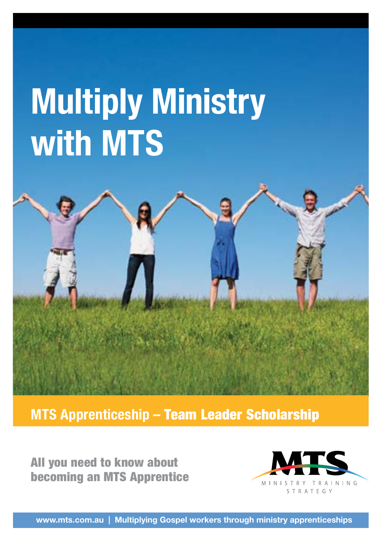# **Multiply Ministry with MTS**

**MTS Apprenticeship –** Team Leader Scholarship

All you need to know about becoming an MTS Apprentice



**www.mts.com.au | Multiplying Gospel workers through ministry apprenticeships**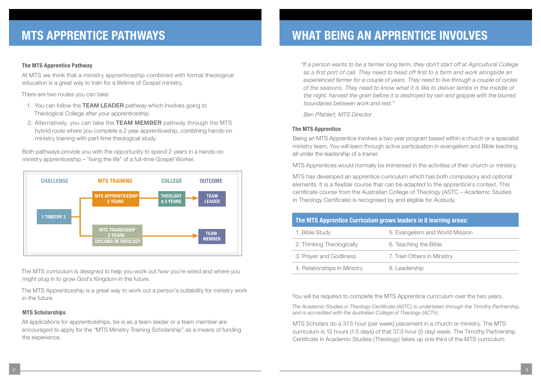### **MTS APPRENTICE PATHWAYS WHAT BEING AN APPRENTICE INVOLVES**

### **The MTS Apprentice Pathway**

At MTS we think that a ministry apprenticeship combined with formal theological education is a great way to train for a lifetime of Gospel ministry.

There are two routes you can take:

- 1. You can follow the TEAM LEADER pathway which involves going to Theological College after your apprenticeship.
- 2. Alternatively, you can take the TEAM MEMBER pathway through the MTS hybrid route where you complete a 2 year apprenticeship, combining hands-on ministry training with part-time theological study.

Both pathways provide you with the opportunity to spend 2 years in a hands-on ministry apprenticeship – "living the life" of a full-time Gospel Worker.



The MTS curriculum is designed to help you work out how you're wired and where you might plug in to grow God's Kingdom in the future.

The MTS Apprenticeship is a great way to work out a person's suitability for ministry work in the future.

### **MTS Scholarships**

All applications for apprenticeships, be is as a team leader or a team member are encouraged to apply for the "MTS Ministry Training Scholarship" as a means of funding the experience.

*"If a person wants to be a farmer long term, they don't start off at Agricultural College as a first port of call. They need to head off first to a farm and work alongside an experienced farmer for a couple of years. They need to live through a couple of cycles of the seasons. They need to know what it is like to deliver lambs in the middle of the night, harvest the grain before it is destroyed by rain and grapple with the blurred boundaries between work and rest."* 

*Ben Pfahlert, MTS Director*

### **The MTS Apprentice**

Being an MTS Apprentice involves a two year program based within a church or a specialist ministry team. You will learn through active participation in evangelism and Bible teaching, all under the leadership of a trainer.

MTS Apprentices would normally be immersed in the activities of their church or ministry.

MTS has developed an apprentice curriculum which has both compulsory and optional elements. It is a flexible course that can be adapted to the apprentice's context. This certificate course from the Australian College of Theology (ASTC – Academic Studies in Theology Certificate) is recognised by and eligible for Austudy.

| The MTS Apprentice Curriculum grows leaders in 8 learning areas: |                                 |
|------------------------------------------------------------------|---------------------------------|
| 1. Bible Study                                                   | 5. Evangelism and World Mission |
| 2. Thinking Theologically                                        | 6. Teaching the Bible           |
| 3. Prayer and Godliness                                          | 7. Train Others in Ministry     |
| 4. Relationships in Ministry                                     | 8. Leadership                   |

You will be required to complete the MTS Apprentice curriculum over the two years.

*The Academic Studies in Theology Certificate (ASTC) is undertaken through the Timothy Partnership, and is accredited with the Australian College of Theology (ACTh).* 

MTS Scholars do a 37.5 hour (per week) placement in a church or ministry. The MTS curriculum is 12 hours (1.5 days) of that 37.5 hour (5 day) week. The Timothy Partnership Certificate in Academic Studies (Theology) takes up one third of the MTS curriculum.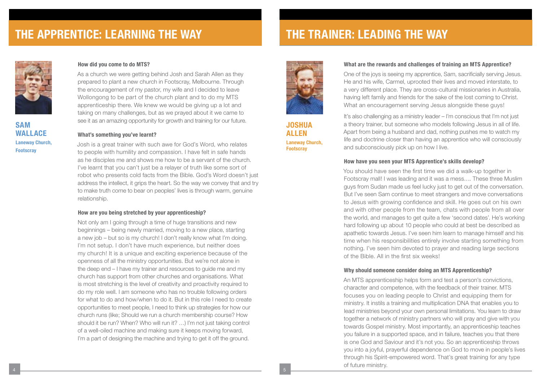### **THE APPRENTICE: LEARNING THE WAY THE TRAINER: LEADING THE WAY**



**SAM WALLACE Laneway Church, Footscray**

### **How did you come to do MTS?**

As a church we were getting behind Josh and Sarah Allen as they prepared to plant a new church in Footscray, Melbourne. Through the encouragement of my pastor, my wife and I decided to leave Wollongong to be part of the church plant and to do my MTS apprenticeship there. We knew we would be giving up a lot and taking on many challenges, but as we prayed about it we came to see it as an amazing opportunity for growth and training for our future.

#### **What's something you've learnt?**

Josh is a great trainer with such awe for God's Word, who relates to people with humility and compassion. I have felt in safe hands as he disciples me and shows me how to be a servant of the church. I've learnt that you can't just be a relayer of truth like some sort of robot who presents cold facts from the Bible. God's Word doesn't just address the intellect, it grips the heart. So the way we convey that and try to make truth come to bear on peoples' lives is through warm, genuine relationship.

### **How are you being stretched by your apprenticeship?**

Not only am I going through a time of huge transitions and new beginnings – being newly married, moving to a new place, starting a new job – but so is my church! I don't really know what I'm doing. I'm not setup. I don't have much experience, but neither does my church! It is a unique and exciting experience because of the openness of all the ministry opportunities. But we're not alone in the deep end – I have my trainer and resources to guide me and my church has support from other churches and organisations. What is most stretching is the level of creativity and proactivity required to do my role well. I am someone who has no trouble following orders for what to do and how/when to do it. But in this role I need to create opportunities to meet people, I need to think up strategies for how our church runs (like; Should we run a church membership course? How should it be run? When? Who will run it? …) I'm not just taking control of a well-oiled machine and making sure it keeps moving forward, I'm a part of designing the machine and trying to get it off the ground.



**JOSHUA ALLEN Laneway Church, Footscray**

### **What are the rewards and challenges of training an MTS Apprentice?**

One of the joys is seeing my apprentice, Sam, sacrificially serving Jesus. He and his wife, Carmel, uprooted their lives and moved interstate, to a very different place. They are cross-cultural missionaries in Australia, having left family and friends for the sake of the lost coming to Christ. What an encouragement serving Jesus alongside these guys!

It's also challenging as a ministry leader – I'm conscious that I'm not just a theory trainer, but someone who models following Jesus in all of life. Apart from being a husband and dad, nothing pushes me to watch my life and doctrine closer than having an apprentice who will consciously and subconsciously pick up on how I live.

### **How have you seen your MTS Apprentice's skills develop?**

You should have seen the first time we did a walk-up together in Footscray mall! I was leading and it was a mess…. These three Muslim guys from Sudan made us feel lucky just to get out of the conversation. But I've seen Sam continue to meet strangers and move conversations to Jesus with growing confidence and skill. He goes out on his own and with other people from the team, chats with people from all over the world, and manages to get quite a few 'second dates'. He's working hard following up about 10 people who could at best be described as apathetic towards Jesus. I've seen him learn to manage himself and his time when his responsibilities entirely involve starting something from nothing. I've seen him devoted to prayer and reading large sections of the Bible. All in the first six weeks!

#### **Why should someone consider doing an MTS Apprenticeship?**

An MTS apprenticeship helps form and test a person's convictions, character and competence, with the feedback of their trainer. MTS focuses you on leading people to Christ and equipping them for ministry. It instils a training and multiplication DNA that enables you to lead ministries beyond your own personal limitations. You learn to draw together a network of ministry partners who will pray and give with you towards Gospel ministry. Most importantly, an apprenticeship teaches you failure in a supported space, and in failure, teaches you that there is one God and Saviour and it's not you. So an apprenticeship throws you into a joyful, prayerful dependence on God to move in people's lives through his Spirit-empowered word. That's great training for any type of future ministry.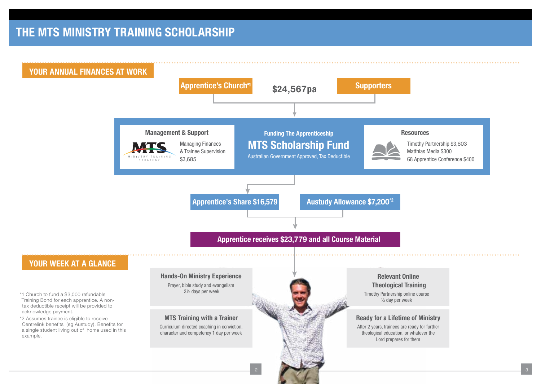## **THE MTS MINISTRY TRAINING SCHOLARSHIP THE MTS MINISTRY TRAINING SCHOLARSHIP**

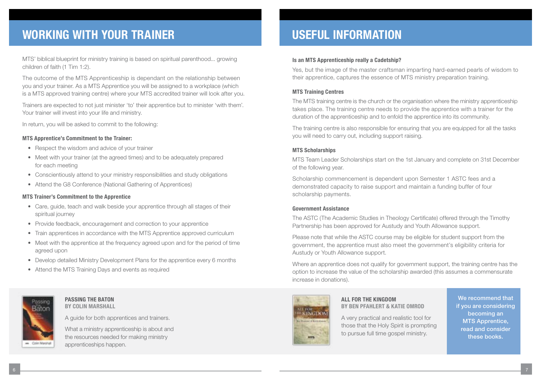## **WORKING WITH YOUR TRAINER**

MTS' biblical blueprint for ministry training is based on spiritual parenthood... growing children of faith (1 Tim 1:2).

The outcome of the MTS Apprenticeship is dependant on the relationship between you and your trainer. As a MTS Apprentice you will be assigned to a workplace (which is a MTS approved training centre) where your MTS accredited trainer will look after you.

Trainers are expected to not just minister 'to' their apprentice but to minister 'with them'. Your trainer will invest into your life and ministry.

In return, you will be asked to commit to the following:

### **MTS Apprentice's Commitment to the Trainer:**

- Respect the wisdom and advice of your trainer
- Meet with your trainer (at the agreed times) and to be adequately prepared for each meeting
- Conscientiously attend to your ministry responsibilities and study obligations
- Attend the G8 Conference (National Gathering of Apprentices)

### **MTS Trainer's Commitment to the Apprentice**

- Care, guide, teach and walk beside your apprentice through all stages of their spiritual journey
- Provide feedback, encouragement and correction to your apprentice
- Train apprentices in accordance with the MTS Apprentice approved curriculum
- Meet with the apprentice at the frequency agreed upon and for the period of time agreed upon
- Develop detailed Ministry Development Plans for the apprentice every 6 months
- Attend the MTS Training Days and events as required



### **PASSING THE BATON BY COLIN MARSHALL**

A guide for both apprentices and trainers.

What a ministry apprenticeship is about and the resources needed for making ministry apprenticeships happen.

### **USEFUL INFORMATION**

### **Is an MTS Apprenticeship really a Cadetship?**

Yes, but the image of the master craftsman imparting hard-earned pearls of wisdom to their apprentice, captures the essence of MTS ministry preparation training.

### **MTS Training Centres**

The MTS training centre is the church or the organisation where the ministry apprenticeship takes place. The training centre needs to provide the apprentice with a trainer for the duration of the apprenticeship and to enfold the apprentice into its community.

The training centre is also responsible for ensuring that you are equipped for all the tasks you will need to carry out, including support raising.

### **MTS Scholarships**

MTS Team Leader Scholarships start on the 1st January and complete on 31st December of the following year.

Scholarship commencement is dependent upon Semester 1 ASTC fees and a demonstrated capacity to raise support and maintain a funding buffer of four scholarship payments.

### **Government Assistance**

The ASTC (The Academic Studies in Theology Certificate) offered through the Timothy Partnership has been approved for Austudy and Youth Allowance support.

Please note that while the ASTC course may be eligible for student support from the government, the apprentice must also meet the government's eligibility criteria for Austudy or Youth Allowance support.

Where an apprentice does not qualify for government support, the training centre has the option to increase the value of the scholarship awarded (this assumes a commensurate increase in donations).



### **ALL FOR THE KINGDOM BY BEN PFAHLERT & KATIE OMROD**

A very practical and realistic tool for those that the Holy Spirit is prompting to pursue full time gospel ministry.

We recommend that if you are considering becoming an MTS Apprentice, read and consider these books.